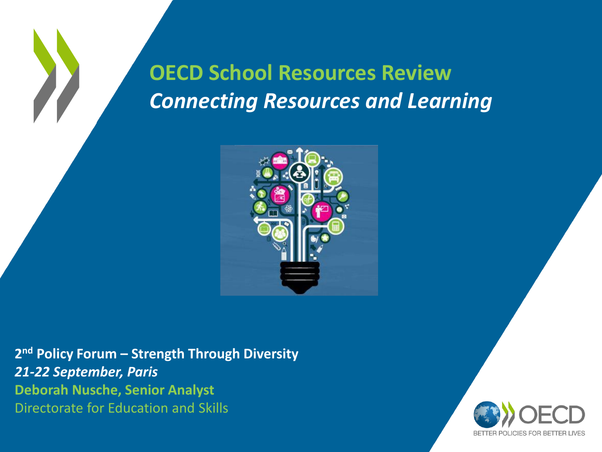### **OECD School Resources Review**  *Connecting Resources and Learning*



**2 nd Policy Forum – Strength Through Diversity** *21-22 September, Paris*  **Deborah Nusche, Senior Analyst** Directorate for Education and Skills

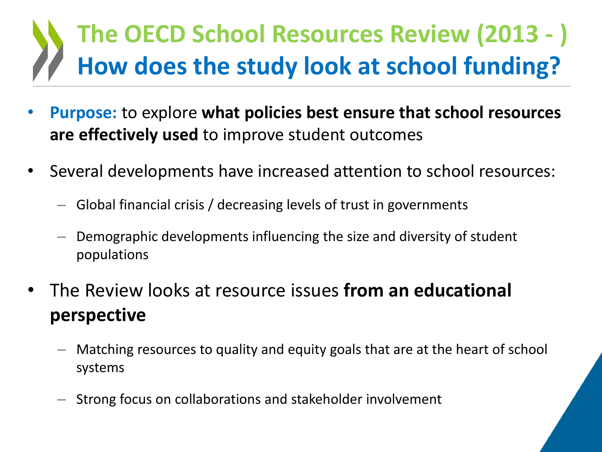## **The OECD School Resources Review (2013 - ) How does the study look at school funding?**

- **Purpose:** to explore **what policies best ensure that school resources are effectively used** to improve student outcomes
- Several developments have increased attention to school resources:
	- Global financial crisis / decreasing levels of trust in governments
	- Demographic developments influencing the size and diversity of student populations
- The Review looks at resource issues **from an educational perspective** 
	- Matching resources to quality and equity goals that are at the heart of school systems
	- Strong focus on collaborations and stakeholder involvement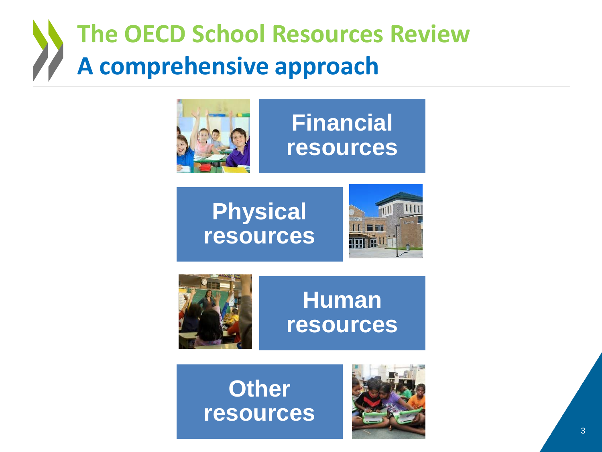## **The OECD School Resources Review A comprehensive approach**



### **Financial resources**







### **Human resources**

### **Other resources**

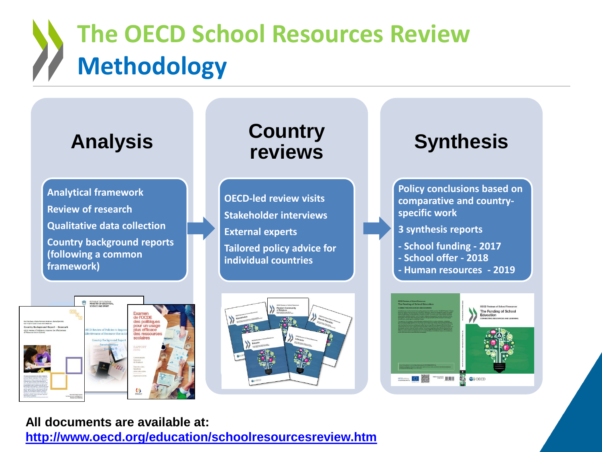# **The OECD School Resources Review Methodology**



#### **All documents are available at: <http://www.oecd.org/education/schoolresourcesreview.htm>**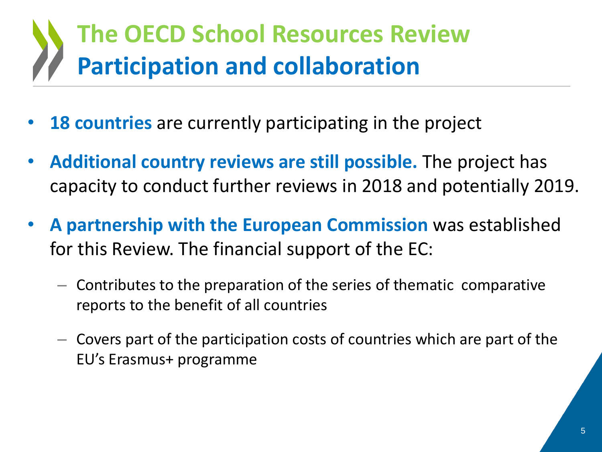## **The OECD School Resources Review Participation and collaboration**

- **18 countries** are currently participating in the project
- **Additional country reviews are still possible.** The project has capacity to conduct further reviews in 2018 and potentially 2019.
- **A partnership with the European Commission** was established for this Review. The financial support of the EC:
	- $-$  Contributes to the preparation of the series of thematic comparative reports to the benefit of all countries
	- Covers part of the participation costs of countries which are part of the EU's Erasmus+ programme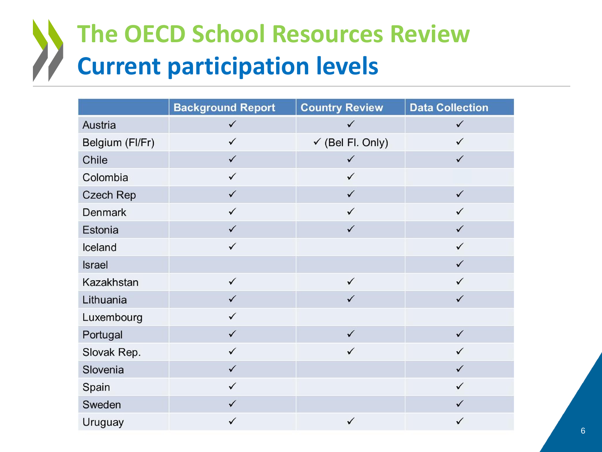## **The OECD School Resources Review Current participation levels**

|                  | <b>Background Report</b> | <b>Country Review</b>       | <b>Data Collection</b> |
|------------------|--------------------------|-----------------------------|------------------------|
| Austria          | $\checkmark$             | $\checkmark$                | $\checkmark$           |
| Belgium (FI/Fr)  | $\checkmark$             | $\checkmark$ (Bel Fl. Only) | $\checkmark$           |
| Chile            | $\checkmark$             | $\checkmark$                | $\checkmark$           |
| Colombia         | $\checkmark$             | $\checkmark$                |                        |
| <b>Czech Rep</b> | $\checkmark$             | $\checkmark$                | $\checkmark$           |
| Denmark          | ✓                        | ✓                           | ✓                      |
| Estonia          | $\checkmark$             | $\checkmark$                | $\checkmark$           |
| Iceland          | $\checkmark$             |                             | $\checkmark$           |
| Israel           |                          |                             | $\checkmark$           |
| Kazakhstan       | $\checkmark$             | $\checkmark$                | ✓                      |
| Lithuania        | $\checkmark$             | $\checkmark$                | $\checkmark$           |
| Luxembourg       | $\checkmark$             |                             |                        |
| Portugal         | $\checkmark$             | $\checkmark$                | $\checkmark$           |
| Slovak Rep.      | $\checkmark$             | $\checkmark$                | $\checkmark$           |
| Slovenia         | $\checkmark$             |                             | $\checkmark$           |
| Spain            | $\checkmark$             |                             | $\checkmark$           |
| Sweden           | $\checkmark$             |                             | $\checkmark$           |
| Uruguay          | $\checkmark$             | $\checkmark$                | ✓                      |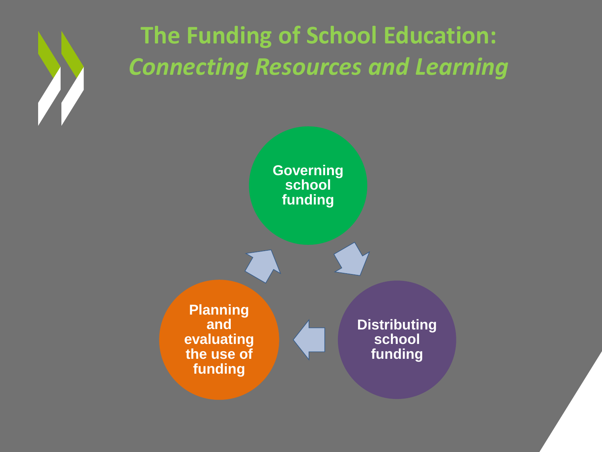

**The Funding of School Education:** *Connecting Resources and Learning*

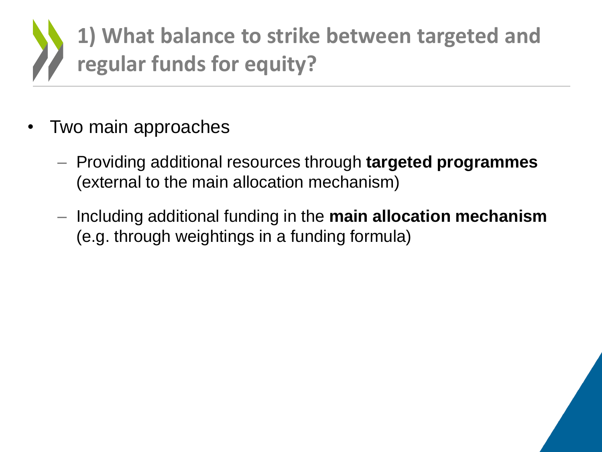

- Two main approaches
	- Providing additional resources through **targeted programmes**  (external to the main allocation mechanism)
	- Including additional funding in the **main allocation mechanism**  (e.g. through weightings in a funding formula)

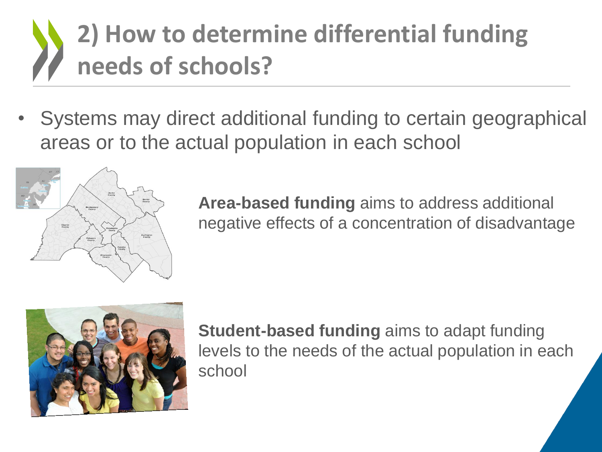# **2) How to determine differential funding needs of schools?**

• Systems may direct additional funding to certain geographical areas or to the actual population in each school



**Area-based funding** aims to address additional negative effects of a concentration of disadvantage



**Student-based funding** aims to adapt funding levels to the needs of the actual population in each school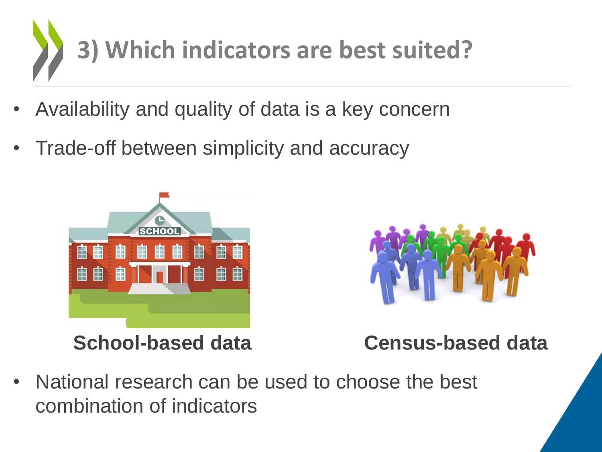

- Availability and quality of data is a key concern
- Trade-off between simplicity and accuracy





**School-based data Census-based data**

• National research can be used to choose the best combination of indicators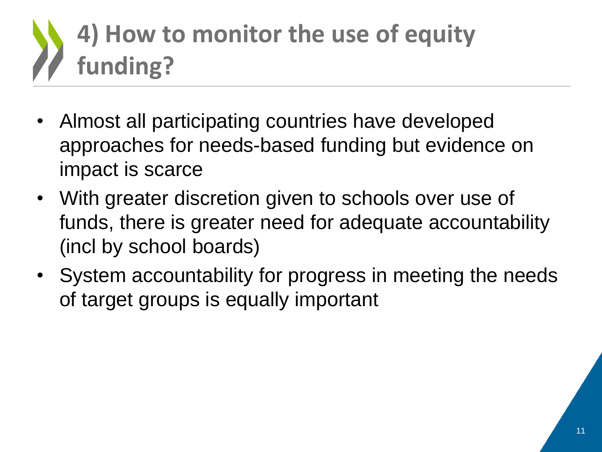# **4) How to monitor the use of equity funding?**

- Almost all participating countries have developed approaches for needs-based funding but evidence on impact is scarce
- With greater discretion given to schools over use of funds, there is greater need for adequate accountability (incl by school boards)
- System accountability for progress in meeting the needs of target groups is equally important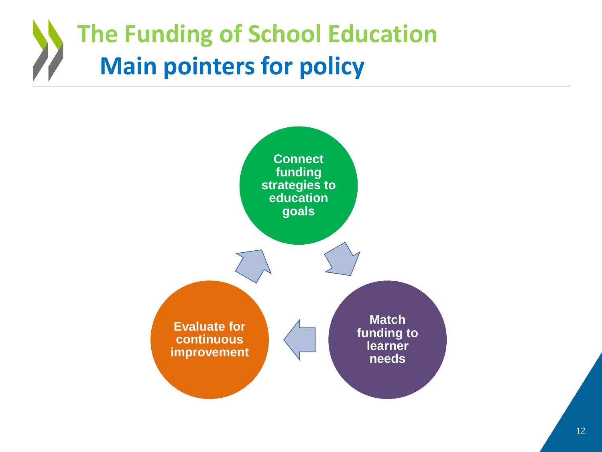## **The Funding of School Education Main pointers for policy**